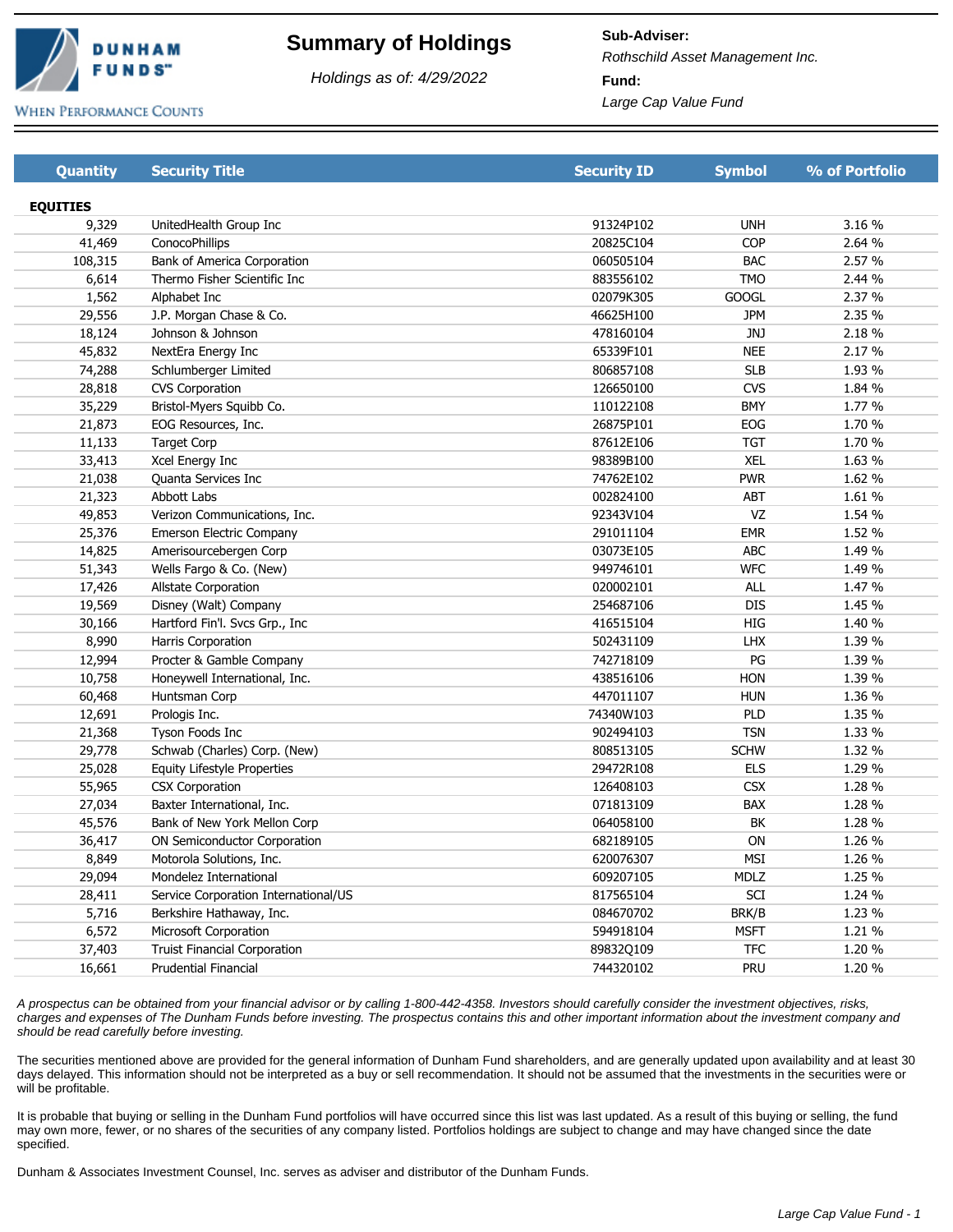

## **Summary of Holdings**

Holdings as of: 4/29/2022

**Sub-Adviser: Fund:**  Rothschild Asset Management Inc. Large Cap Value Fund

**WHEN PERFORMANCE COUNTS** 

| <b>Quantity</b> | <b>Security Title</b>                | <b>Security ID</b> | <b>Symbol</b> | % of Portfolio |
|-----------------|--------------------------------------|--------------------|---------------|----------------|
|                 |                                      |                    |               |                |
| <b>EQUITIES</b> |                                      |                    |               |                |
| 9,329           | UnitedHealth Group Inc               | 91324P102          | <b>UNH</b>    | 3.16 %         |
| 41,469          | ConocoPhillips                       | 20825C104          | COP           | 2.64 %         |
| 108,315         | Bank of America Corporation          | 060505104          | <b>BAC</b>    | 2.57 %         |
| 6,614           | Thermo Fisher Scientific Inc         | 883556102          | <b>TMO</b>    | 2.44 %         |
| 1,562           | Alphabet Inc                         | 02079K305          | <b>GOOGL</b>  | 2.37 %         |
| 29,556          | J.P. Morgan Chase & Co.              | 46625H100          | <b>JPM</b>    | 2.35 %         |
| 18,124          | Johnson & Johnson                    | 478160104          | <b>JNJ</b>    | 2.18 %         |
| 45,832          | NextEra Energy Inc                   | 65339F101          | <b>NEE</b>    | 2.17 %         |
| 74,288          | Schlumberger Limited                 | 806857108          | <b>SLB</b>    | 1.93 %         |
| 28,818          | <b>CVS Corporation</b>               | 126650100          | <b>CVS</b>    | 1.84 %         |
| 35,229          | Bristol-Myers Squibb Co.             | 110122108          | <b>BMY</b>    | 1.77 %         |
| 21,873          | EOG Resources, Inc.                  | 26875P101          | EOG           | 1.70 %         |
| 11,133          | <b>Target Corp</b>                   | 87612E106          | <b>TGT</b>    | 1.70 %         |
| 33,413          | Xcel Energy Inc                      | 98389B100          | <b>XEL</b>    | 1.63 %         |
| 21,038          | Quanta Services Inc                  | 74762E102          | <b>PWR</b>    | 1.62 %         |
| 21,323          | Abbott Labs                          | 002824100          | ABT           | 1.61 %         |
| 49,853          | Verizon Communications, Inc.         | 92343V104          | VZ            | 1.54 %         |
| 25,376          | <b>Emerson Electric Company</b>      | 291011104          | <b>EMR</b>    | 1.52 %         |
| 14,825          | Amerisourcebergen Corp               | 03073E105          | <b>ABC</b>    | 1.49 %         |
| 51,343          | Wells Fargo & Co. (New)              | 949746101          | <b>WFC</b>    | 1.49 %         |
| 17,426          | Allstate Corporation                 | 020002101          | <b>ALL</b>    | 1.47 %         |
| 19,569          | Disney (Walt) Company                | 254687106          | <b>DIS</b>    | 1.45 %         |
| 30,166          | Hartford Fin'l. Svcs Grp., Inc       | 416515104          | HIG           | 1.40 %         |
| 8,990           | Harris Corporation                   | 502431109          | <b>LHX</b>    | 1.39 %         |
| 12,994          | Procter & Gamble Company             | 742718109          | PG            | 1.39 %         |
| 10,758          | Honeywell International, Inc.        | 438516106          | HON           | 1.39 %         |
| 60,468          | Huntsman Corp                        | 447011107          | <b>HUN</b>    | 1.36 %         |
| 12,691          | Prologis Inc.                        | 74340W103          | PLD           | 1.35 %         |
| 21,368          | Tyson Foods Inc                      | 902494103          | <b>TSN</b>    | 1.33 %         |
| 29,778          | Schwab (Charles) Corp. (New)         | 808513105          | <b>SCHW</b>   | 1.32 %         |
| 25,028          | Equity Lifestyle Properties          | 29472R108          | <b>ELS</b>    | 1.29 %         |
| 55,965          | <b>CSX Corporation</b>               | 126408103          | <b>CSX</b>    | 1.28 %         |
| 27,034          | Baxter International, Inc.           | 071813109          | BAX           | 1.28 %         |
| 45,576          | Bank of New York Mellon Corp         | 064058100          | BK            | 1.28 %         |
| 36,417          | ON Semiconductor Corporation         | 682189105          | ON            | 1.26 %         |
| 8,849           | Motorola Solutions, Inc.             | 620076307          | MSI           | 1.26 %         |
| 29,094          | Mondelez International               | 609207105          | MDLZ          | 1.25 %         |
| 28,411          | Service Corporation International/US | 817565104          | SCI           | 1.24 %         |
| 5,716           | Berkshire Hathaway, Inc.             | 084670702          | BRK/B         | 1.23 %         |
| 6,572           | Microsoft Corporation                | 594918104          | <b>MSFT</b>   | 1.21 %         |
| 37,403          | <b>Truist Financial Corporation</b>  | 89832Q109          | <b>TFC</b>    | 1.20 %         |
| 16,661          | <b>Prudential Financial</b>          | 744320102          | PRU           | 1.20 %         |
|                 |                                      |                    |               |                |

A prospectus can be obtained from your financial advisor or by calling 1-800-442-4358. Investors should carefully consider the investment objectives, risks, charges and expenses of The Dunham Funds before investing. The prospectus contains this and other important information about the investment company and should be read carefully before investing.

The securities mentioned above are provided for the general information of Dunham Fund shareholders, and are generally updated upon availability and at least 30 days delayed. This information should not be interpreted as a buy or sell recommendation. It should not be assumed that the investments in the securities were or will be profitable.

It is probable that buying or selling in the Dunham Fund portfolios will have occurred since this list was last updated. As a result of this buying or selling, the fund may own more, fewer, or no shares of the securities of any company listed. Portfolios holdings are subject to change and may have changed since the date specified.

Dunham & Associates Investment Counsel, Inc. serves as adviser and distributor of the Dunham Funds.